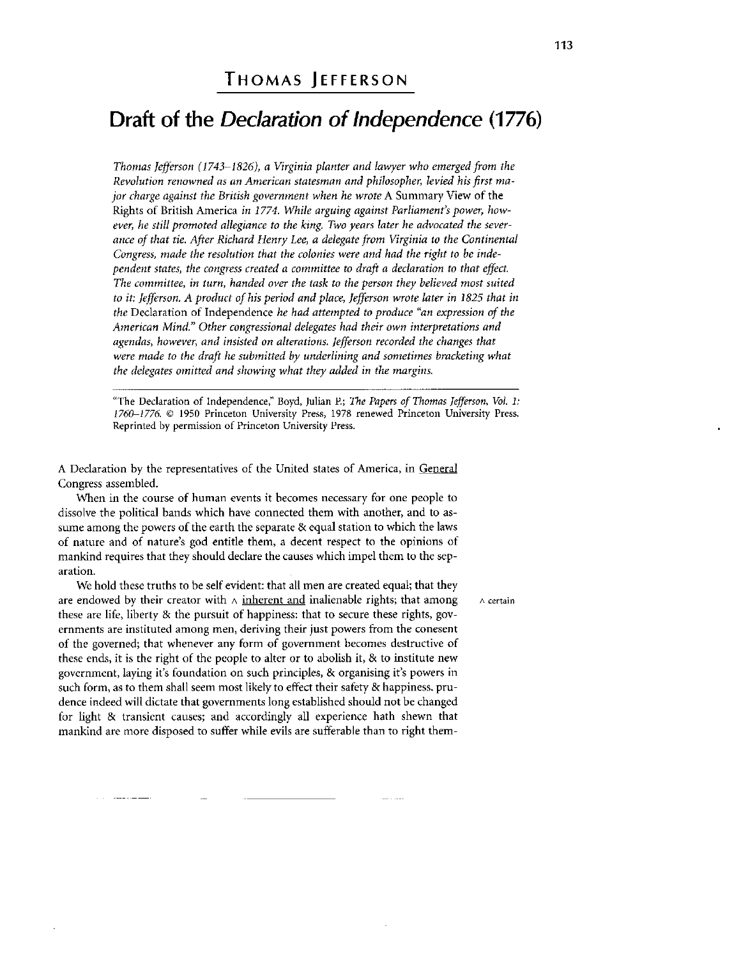## THOMAS JEFFERSON

## Draft of the *Declaration of Independence* (1776)

*Thomas Jefferson (1743-1826), a Virginia planter and lawyer who emerged from the Revolution renowned as an American statesman and philosopher, levied his first major charge against the British government when he wrote* A Summary View of the Rights of British America *in 1774. While arguing against Parliament's power, however, he still promoted allegiance to the king. Two years later he advocated the severance of that tie. After Richard Henry Lee, a delegate from Virginia to the Continental Congress, made the resolution that the colonies were and had the right to be independent states, the congress created a committee to draft a declaration to that effect. The committee, in turn, handed over the task to the person they believed most suited*  to it: Jefferson. A product of his period and place, Jefferson wrote later in 1825 that in *the* Declaration of Independence *he had attempted to produce "an expression of the American Mind." Other congressional delegates had their own interpretations and agendas, however, and insisted on alterations. Jefferson recorded the changes that*  were made to the draft he submitted by underlining and sometimes bracketing what *the delegates omitted and showing what they added in the margins.* 

"The Declaration of Independence," Boyd, Julian P.; The Papers of Thomas Jefferson, Vol. 1: *1760-1776. ©* 1950 Princeton University Press, 1978 renewed Princeton University Press. Reprinted by permission of Princeton University Press.

A Declaration by the representatives of the United states of America, in General Congress assembled.

When in the course of human events it becomes necessary for one people to dissolve the political bands which have connected them with another, and to assume among the powers of the earth the separate & equal station to which the laws of nature and of nature's god entitle them, a decent respect to the opinions of mankind requires that they should declare the causes which impel them to the separation.

We hold these truths to be self evident: that all men are created equal; that they are endowed by their creator with  $\wedge$  inherent and inalienable rights; that among  $\wedge$  certain these are life, liberty & the pursuit of happiness: that to secure these rights, governments are instituted among men, deriving their just powers from the conesent of the governed; that whenever any form of government becomes destructive of these ends, it is the right of the people to alter or to abolish it, & to institute new government, laying it's foundation on such principles, & organising it's powers in such form, as to them shall seem most likely to effect their safety & happiness, prudence indeed will dictate that governments long established should not be changed for light & transient causes; and accordingly all experience hath shewn that mankind are more disposed to suffer while evils are sufferable than to right them-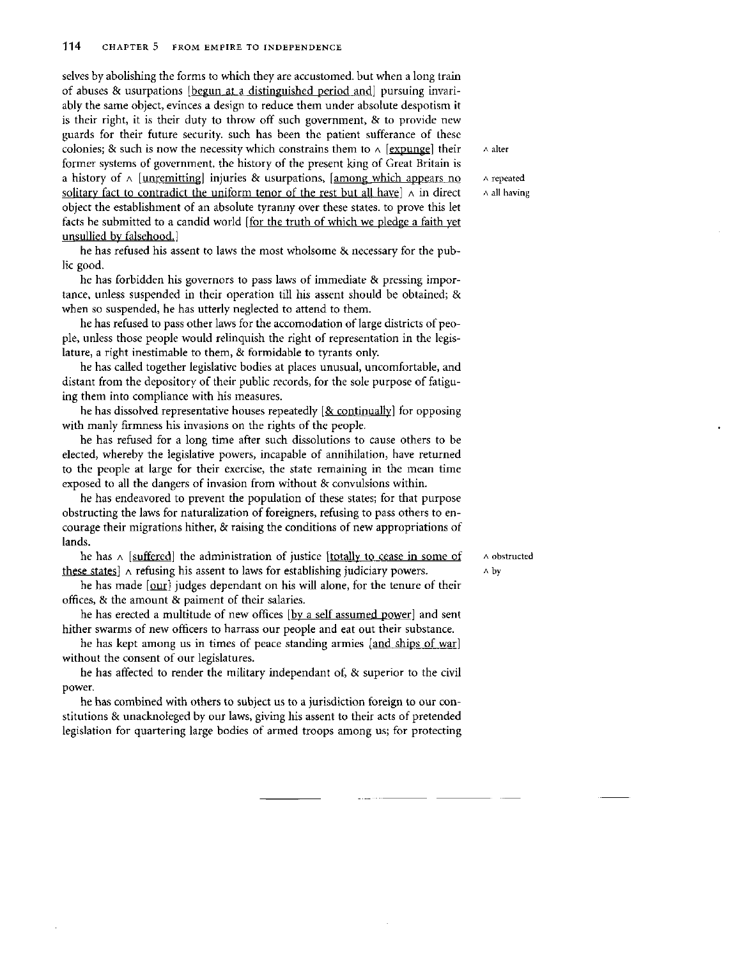selves by abolishing the forms to which they are accustomed, but when a long train of abuses & usurpations [begun at a distinguished period and] pursuing invariably the same object, evinces a design to reduce them under absolute despotism it is their right, it is their duty to throw off such government, & to provide new guards for their future security, such has been the patient sufferance of these colonies; & such is now the necessity which constrains them to  $\wedge$  [expunge] their  $\wedge$  alter former systems of government, the history of the present king of Great Britain is a history of  $\land$  [unremitting] injuries & usurpations, [among which appears no A repeated solitary fact to contradict the uniform tenor of the rest but all have  $\lambda$  in direct  $\lambda$  all having object the establishment of an absolute tyranny over these states, to prove this let facts be submitted to a candid world [for the truth of which we pledge a faith yet unsullied by falsehood.]

he has refused his assent to laws the most wholsome & necessary for the public good.

he has forbidden his governors to pass laws of immediate & pressing importance, unless suspended in their operation till his assent should be obtained; & when so suspended, he has utterly neglected to attend to them.

he has refused to pass other laws for the accomodation of large districts of people, unless those people would relinquish the right of representation in the legislature, a right inestimable to them, & formidable to tyrants only.

he has called together legislative bodies at places unusual, uncomfortable, and distant from the depository of their public records, for the sole purpose of fatiguing them into compliance with his measures.

he has dissolved representative houses repeatedly  $[&continually]$  for opposing with manly firmness his invasions on the rights of the people.

he has refused for a long time after such dissolutions to cause others to be elected, whereby the legislative powers, incapable of annihilation, have returned to the people at large for their exercise, the state remaining in the mean time exposed to all the dangers of invasion from without & convulsions within.

he has endeavored to prevent the population of these states; for that purpose obstructing the laws for naturalization of foreigners, refusing to pass others to encourage their migrations hither, & raising the conditions of new appropriations of lands.

he has  $\land$  [suffered] the administration of justice [totally to cease in some of  $\land$   $\land$  obstructed these states]  $\land$  refusing his assent to laws for establishing judiciary powers.  $\land$  by

he has made [our] judges dependant on his will alone, for the tenure of their offices, & the amount & paiment of their salaries.

he has erected a multitude of new offices [by a self assumed power] and sent hither swarms of new officers to harrass our people and eat out their substance.

he has kept among us in times of peace standing armies [and ships of war] without the consent of our legislatures.

he has affected to render the military independant of, & superior to the civil power.

he has combined with others to subject us to a jurisdiction foreign to our constitutions & unacknoleged by our laws, giving his assent to their acts of pretended legislation for quartering large bodies of armed troops among us; for protecting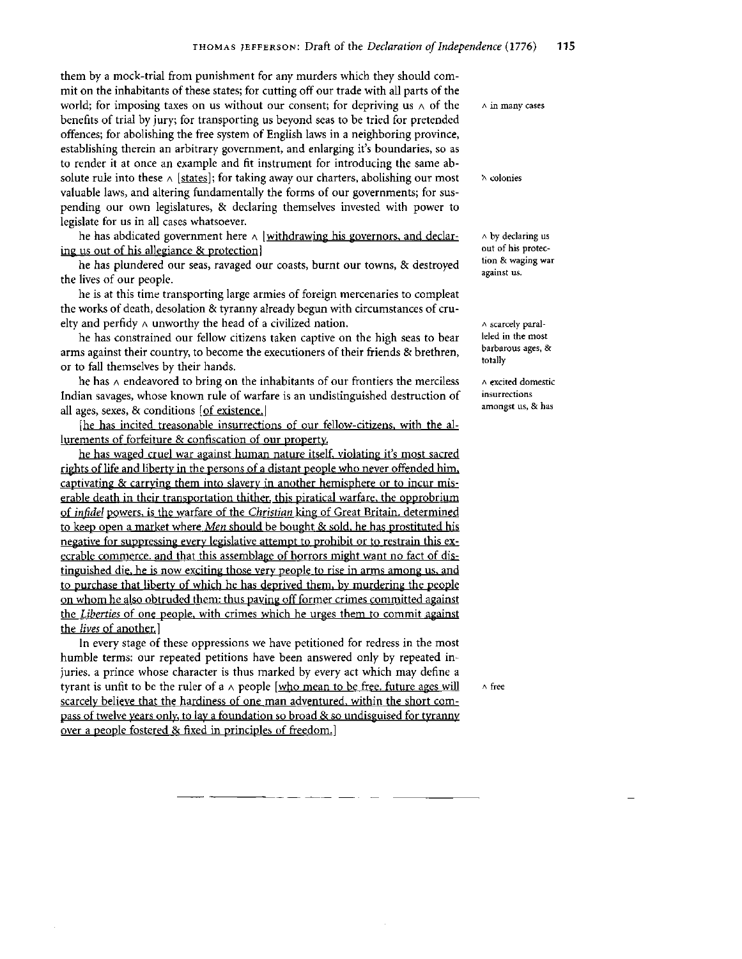them by a mock-trial from punishment for any murders which they should commit on the inhabitants of these states; for cutting off our trade with all parts of the world; for imposing taxes on us without our consent; for depriving us  $\wedge$  of the  $\wedge$  in many cases benefits of trial by jury; for transporting us beyond seas to be tried for pretended offences; for abolishing the free system of English laws in a neighboring province, establishing therein an arbitrary government, and enlarging it's boundaries, so as to render it at once an example and fit instrument for introducing the same absolute rule into these  $\wedge$  [states]; for taking away our charters, abolishing our most valuable laws, and altering fundamentally the forms of our governments; for suspending our own legislatures, & declaring themselves invested with power to legislate for us in all cases whatsoever.

he has abdicated government here  $\land$  [withdrawing his governors, and declaring us out of his allegiance & protection

he has plundered our seas, ravaged our coasts, burnt our towns, & destroyed the lives of our people.

he is at this time transporting large armies of foreign mercenaries to compleat the works of death, desolation & tyranny already begun with circumstances of cruelty and perfidy  $\wedge$  unworthy the head of a civilized nation.

he has constrained our fellow citizens taken captive on the high seas to bear arms against their country, to become the executioners of their friends & brethren, or to fall themselves by their hands.

he has  $\wedge$  endeavored to bring on the inhabitants of our frontiers the merciless Indian savages, whose known rule of warfare is an undistinguished destruction of all ages, sexes, & conditions [of existence.]

[he has incited treasonable insurrections of our fellow-citizens, with the allurements of forfeiture & confiscation of our property-

he has waged cruel war against human nature itself, violating it's most sacred rights of life and liberty in the persons of a distant people who never offended him, captivating & carrying them into slavery in another hemisphere or to incur miserable death in their transportation thither, this piratical warfare, the opprobrium of *infidel* powers, is the warfare of the *Christian* king of Great Britain, determined to keep open a market where *Men* should be bought & sold, he has prostituted his negative for suppressing every legislative attempt to prohibit or to restrain this execrable commerce, and that this assemblage of horrors might want no fact of distinguished die, he is now exciting those very people to rise in arms among us. and to purchase that liberty of which he has deprived them, by murdering the people on whom he also obtruded them: thus paving off former crimes committed against the *Liberties* of one people, with crimes which he urges them to commit against the *lives* of another. ]

In every stage of these oppressions we have petitioned for redress in the most humble terms: our repeated petitions have been answered only by repeated injuries, a prince whose character is thus marked by every act which may define a tyrant is unfit to be the ruler of a  $\wedge$  people [who mean to be free, future ages will  $\wedge$  free scarcely believe that the hardiness of one man adventured, within the short compass of twelve years only, to lay a foundation so broad & so undisguised for tyranny over a people fostered & fixed in principles of freedom.]

"A **colonies** 

<sup>A</sup> **by declaring us out of his protection & waging war against us.** 

A **scarcely paralleled in the most barbarous ages, & totally** 

<sup>A</sup> **excited domestic insurrections amongst us, & has**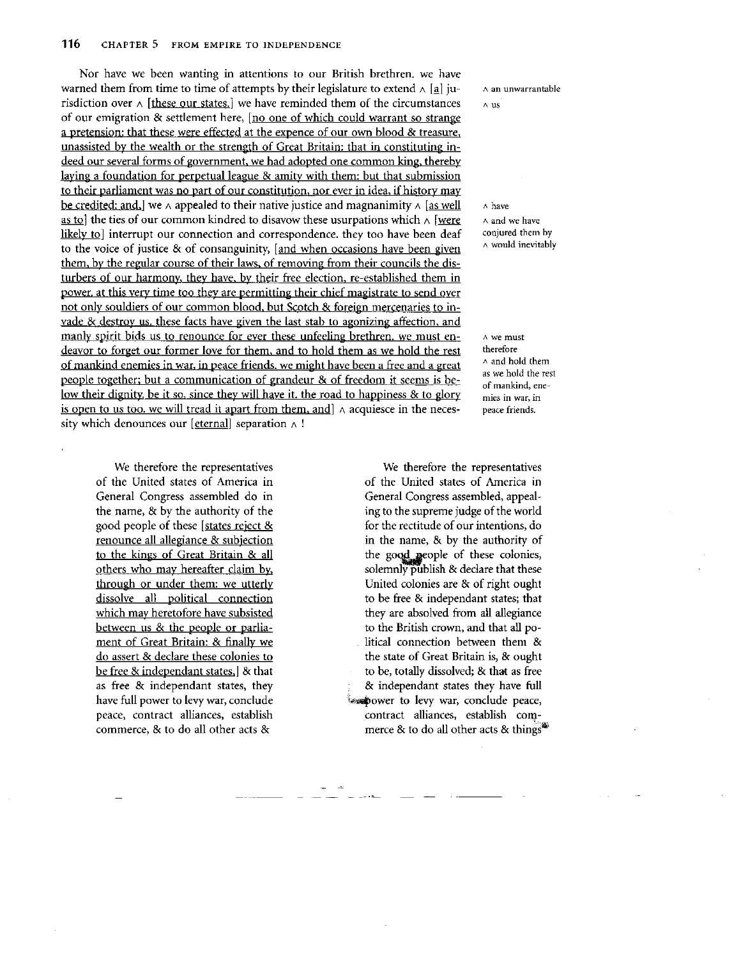Nor have we been wanting in attentions to our British brethren, we have warned them from time to time of attempts by their legislature to extend  $\wedge$  [a] jurisdiction over  $\wedge$  [these our states.] we have reminded them of the circumstances of our emigration & settlement here, [no one of which could warrant so strange a pretension: that these were effected at the expence of our own blood & treasure, unassisted by the wealth or the strength of Great Britain: that in constituting indeed our several forms of government, we had adopted one common king, thereby laying a foundation for perpetual league & amity with them: but that submission to their parliament was no part of our constitution, nor ever in idea, if history may be credited: and, we  $\wedge$  appealed to their native justice and magnanimity  $\wedge$  [as well] as to] the ties of our common kindred to disavow these usurpations which  $\land$  [were likely to] interrupt our connection and correspondence, they too have been deaf to the voice of justice & of consanguinity, [and when occasions have been given them, by the regular course of their laws, of removing from their councils the disturbers of our harmony, they have, by their free election, re-established them in power, at this very time too they are permitting their chief magistrate to send over not only souldiers of our common blood, but Scotch & foreign mercenaries to invade & destroy us. these facts have given the last stab to agonizing affection, and manly spirit bids us to renounce for ever these unfeeling brethren, we must endeavor to forget our former love for them, and to hold them as we hold the rest of mankind enemies in war, in peace friends, we might have been a free and a great people together: but a communication of grandeur & of freedom it seems is below their dignity be it so, since they will have it, the road to happiness & to glory is open to us too, we will tread it apart from them, and]  $\land$  acquiesce in the necessity which denounces our [eternal] separation  $\wedge$  !

We therefore the representatives of the United states of America in General Congress assembled do in the name, & by the authority of the good people of these [states reject & renounce all allegiance & subjection to the kings of Great Britain & all others who may hereafter claim by, through or under them: we utterly dissolve all political connection which may heretofore have subsisted between us & the people or parliament of Great Britain: & finally we do assert & declare these colonies to be free  $\&$  independant states,  $\&$  that as free & independant states, they have full power to levy war, conclude peace, contract alliances, establish commerce, & to do all other acts &

<sup>A</sup> **an unwarrantable** 

<sup>A</sup> **US** 

<sup>A</sup> **have**  <sup>A</sup> **and we have conjured them by**  <sup>A</sup> **would inevitably** 

<sup>A</sup> **we must therefore**  <sup>A</sup> **and hold them as we hold the rest of mankind, enemies in war, in peace friends.** 

We therefore the representatives of the United states of America in General Congress assembled, appealing to the supreme judge of the world for the rectitude of our intentions, do in the name, & by the authority of the good people of these colonies, solemnly publish & declare that these United colonies are & of right ought to be free & independant states; that they are absolved from all allegiance to the British crown, and that all political connection between them & the state of Great Britain is, & ought to be, totally dissolved; & that as free & independant states they have full issupower to levy war, conclude peace, contract alliances, establish commerce & to do all other acts & things $\mathbf{A}$